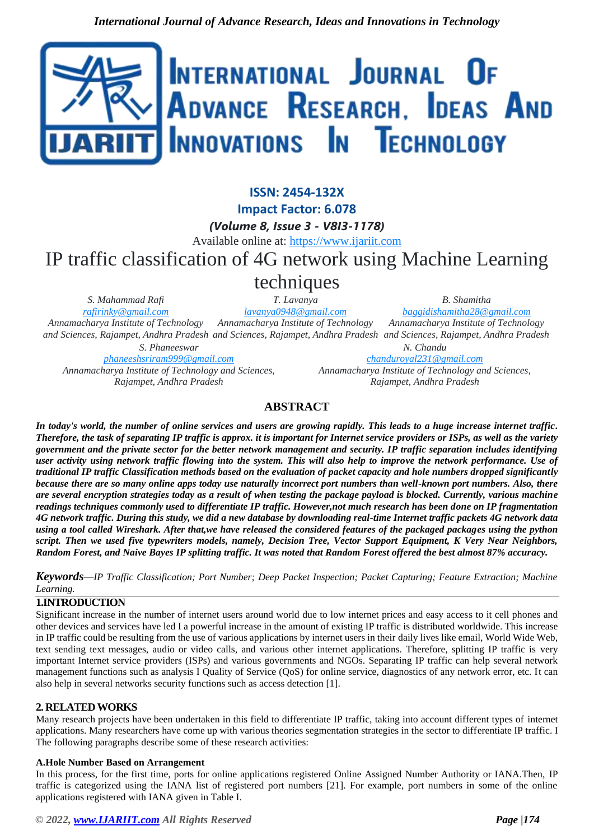

#### **ISSN: 2454-132X Impact Factor: 6.078** *(Volume 8, Issue 3 - V8I3-1178)* Available online at: [https://www.ijariit.com](https://www.ijariit.com/?utm_source=pdf&utm_medium=edition&utm_campaign=OmAkSols&utm_term=V8I3-1178) IP traffic classification of 4G network using Machine Learning techniques *S. Mahammad Rafi [rafirinky@gmail.com](mailto:rafirinky@gmail.com) T. Lavanya [lavanya0948@gmail.com](mailto:lavanya0948@gmail.com) B. Shamitha [baggidishamitha28@gmail.com](mailto:baggidishamitha28@gmail.com)*

*Annamacharya Institute of Technology Annamacharya Institute of Technology and Sciences, Rajampet, Andhra Pradesh and Sciences, Rajampet, Andhra Pradesh and Sciences, Rajampet, Andhra Pradesh S. Phaneeswar*

*[phaneeshsriram999@gmail.com](mailto:phaneeshsriram999@gmail.com) Annamacharya Institute of Technology and Sciences, Rajampet, Andhra Pradesh*

*N. Chandu [chanduroyal231@gmail.com](mailto:chanduroyal231@gmail.com) Annamacharya Institute of Technology and Sciences, Rajampet, Andhra Pradesh*

*Annamacharya Institute of Technology* 

# **ABSTRACT**

*In today's world, the number of online services and users are growing rapidly. This leads to a huge increase internet traffic. Therefore, the task of separating IP traffic is approx. it is important for Internet service providers or ISPs, as well as the variety government and the private sector for the better network management and security. IP traffic separation includes identifying user activity using network traffic flowing into the system. This will also help to improve the network performance. Use of traditional IP traffic Classification methods based on the evaluation of packet capacity and hole numbers dropped significantly because there are so many online apps today use naturally incorrect port numbers than well-known port numbers. Also, there are several encryption strategies today as a result of when testing the package payload is blocked. Currently, various machine readings techniques commonly used to differentiate IP traffic. However,not much research has been done on IP fragmentation 4G network traffic. During this study, we did a new database by downloading real-time Internet traffic packets 4G network data using a tool called Wireshark. After that,we have released the considered features of the packaged packages using the python script. Then we used five typewriters models, namely, Decision Tree, Vector Support Equipment, K Very Near Neighbors, Random Forest, and Naive Bayes IP splitting traffic. It was noted that Random Forest offered the best almost 87% accuracy.*

*Keywords*—*IP Traffic Classification; Port Number; Deep Packet Inspection; Packet Capturing; Feature Extraction; Machine Learning.*

# **1.INTRODUCTION**

Significant increase in the number of internet users around world due to low internet prices and easy access to it cell phones and other devices and services have led I a powerful increase in the amount of existing IP traffic is distributed worldwide. This increase in IP traffic could be resulting from the use of various applications by internet users in their daily lives like email, World Wide Web, text sending text messages, audio or video calls, and various other internet applications. Therefore, splitting IP traffic is very important Internet service providers (ISPs) and various governments and NGOs. Separating IP traffic can help several network management functions such as analysis I Quality of Service (QoS) for online service, diagnostics of any network error, etc. It can also help in several networks security functions such as access detection [1].

# **2. RELATED WORKS**

Many research projects have been undertaken in this field to differentiate IP traffic, taking into account different types of internet applications. Many researchers have come up with various theories segmentation strategies in the sector to differentiate IP traffic. I The following paragraphs describe some of these research activities:

# **A.Hole Number Based on Arrangement**

In this process, for the first time, ports for online applications registered Online Assigned Number Authority or IANA.Then, IP traffic is categorized using the IANA list of registered port numbers [21]. For example, port numbers in some of the online applications registered with IANA given in Table I.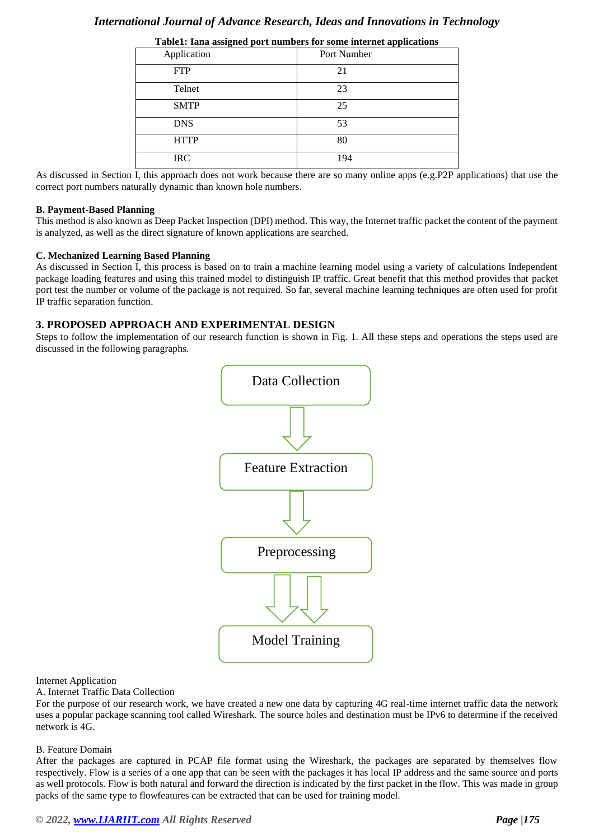# *International Journal of Advance Research, Ideas and Innovations in Technology*

| Application | Port Number |
|-------------|-------------|
| <b>FTP</b>  | 21          |
| Telnet      | 23          |
| <b>SMTP</b> | 25          |
| <b>DNS</b>  | 53          |
| <b>HTTP</b> | 80          |
| <b>IRC</b>  | 194         |

**Table1: Iana assigned port numbers for some internet applications**

As discussed in Section I, this approach does not work because there are so many online apps (e.g.P2P applications) that use the correct port numbers naturally dynamic than known hole numbers.

#### **B. Payment-Based Planning**

This method is also known as Deep Packet Inspection (DPI) method. This way, the Internet traffic packet the content of the payment is analyzed, as well as the direct signature of known applications are searched.

#### **C. Mechanized Learning Based Planning**

As discussed in Section I, this process is based on to train a machine learning model using a variety of calculations Independent package loading features and using this trained model to distinguish IP traffic. Great benefit that this method provides that packet port test the number or volume of the package is not required. So far, several machine learning techniques are often used for profit IP traffic separation function.

## **3. PROPOSED APPROACH AND EXPERIMENTAL DESIGN**

Steps to follow the implementation of our research function is shown in Fig. 1. All these steps and operations the steps used are discussed in the following paragraphs.



#### Internet Application

A. Internet Traffic Data Collection

For the purpose of our research work, we have created a new one data by capturing 4G real-time internet traffic data the network uses a popular package scanning tool called Wireshark. The source holes and destination must be IPv6 to determine if the received network is 4G.

#### B. Feature Domain

After the packages are captured in PCAP file format using the Wireshark, the packages are separated by themselves flow respectively. Flow is a series of a one app that can be seen with the packages it has local IP address and the same source and ports as well protocols. Flow is both natural and forward the direction is indicated by the first packet in the flow. This was made in group packs of the same type to flowfeatures can be extracted that can be used for training model.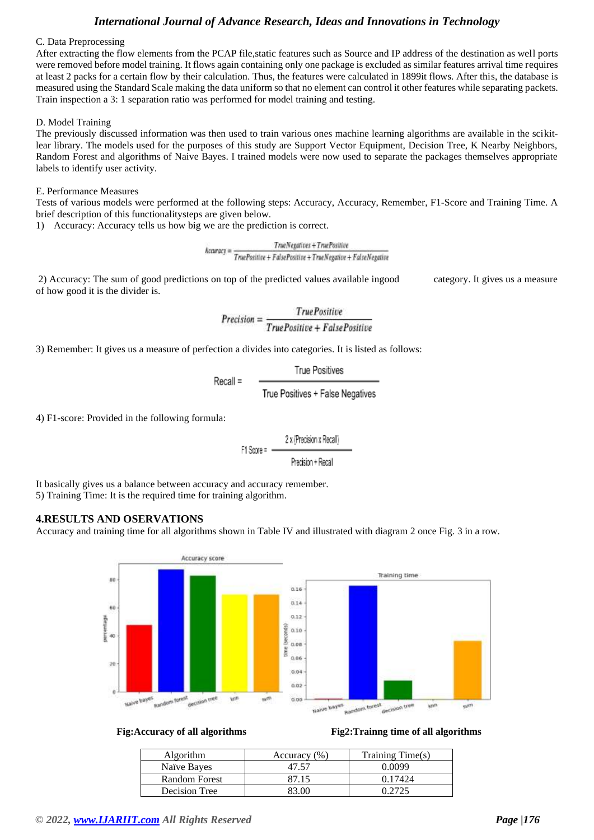# *International Journal of Advance Research, Ideas and Innovations in Technology*

#### C. Data Preprocessing

After extracting the flow elements from the PCAP file,static features such as Source and IP address of the destination as well ports were removed before model training. It flows again containing only one package is excluded as similar features arrival time requires at least 2 packs for a certain flow by their calculation. Thus, the features were calculated in 1899it flows. After this, the database is measured using the Standard Scale making the data uniform so that no element can control it other features while separating packets. Train inspection a 3: 1 separation ratio was performed for model training and testing.

### D. Model Training

The previously discussed information was then used to train various ones machine learning algorithms are available in the scikitlear library. The models used for the purposes of this study are Support Vector Equipment, Decision Tree, K Nearby Neighbors, Random Forest and algorithms of Naive Bayes. I trained models were now used to separate the packages themselves appropriate labels to identify user activity.

### E. Performance Measures

Tests of various models were performed at the following steps: Accuracy, Accuracy, Remember, F1-Score and Training Time. A brief description of this functionalitysteps are given below.

1) Accuracy: Accuracy tells us how big we are the prediction is correct.

TrueNegatives + TruePositive  $Accuracy = \frac{TruePositive}{TruePositive + FalsePositive + TruePositiveitive + FalseNegative}$ 

2) Accuracy: The sum of good predictions on top of the predicted values available ingood category. It gives us a measure of how good it is the divider is.

$$
Precision = \frac{True Positive}{True Positive + False Positive}
$$

3) Remember: It gives us a measure of perfection a divides into categories. It is listed as follows:

4) F1-score: Provided in the following formula:

$$
F1 Score = \frac{2 \times (Precision \times Recall)}{Precision + Recall}
$$

It basically gives us a balance between accuracy and accuracy remember. 5) Training Time: It is the required time for training algorithm.

# **4.RESULTS AND OSERVATIONS**

Accuracy and training time for all algorithms shown in Table IV and illustrated with diagram 2 once Fig. 3 in a row.



### **Fig:Accuracy of all algorithms Fig2:Trainng time of all algorithms**

| Algorithm            | Accuracy $(\% )$ | Training Time(s) |
|----------------------|------------------|------------------|
| Naïve Bayes          |                  | Ი ᲘᲘ99           |
| <b>Random Forest</b> |                  | 0.17424          |
| Decision Tree        |                  |                  |

# *© 2022[, www.IJARIIT.com](file:///C:/omak/Downloads/www.IJARIIT.com) All Rights Reserved Page |176*